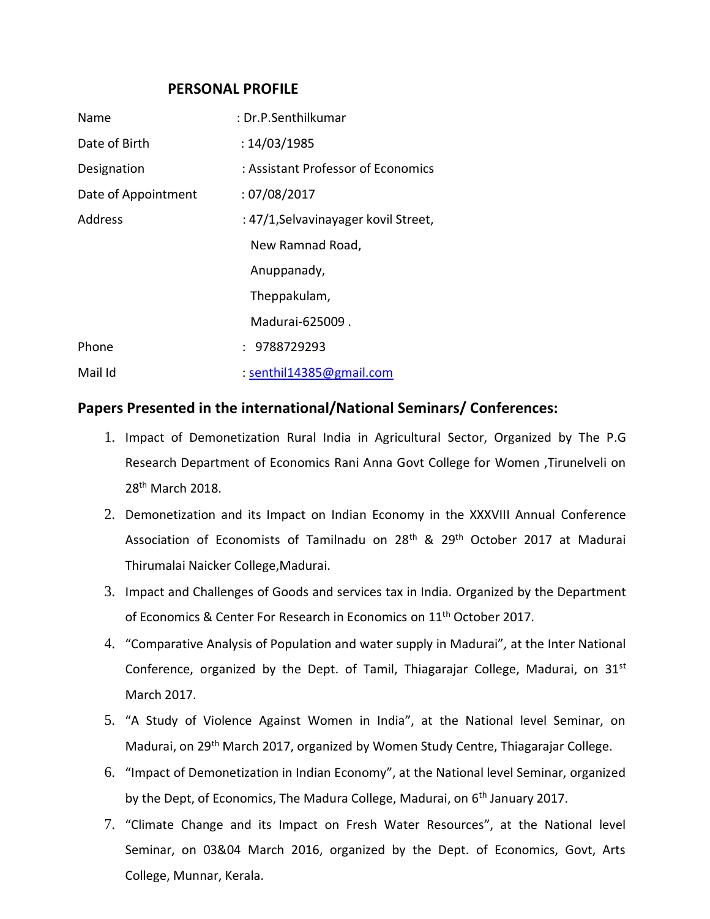### **PERSONAL PROFILE**

| Name                | : Dr.P.Senthilkumar                  |
|---------------------|--------------------------------------|
| Date of Birth       | : 14/03/1985                         |
| Designation         | : Assistant Professor of Economics   |
| Date of Appointment | :07/08/2017                          |
| Address             | : 47/1, Selvavinayager kovil Street, |
|                     | New Ramnad Road,                     |
|                     | Anuppanady,                          |
|                     | Theppakulam,                         |
|                     | Madurai-625009.                      |
| Phone               | : 9788729293                         |
| Mail Id             | : senthil14385@gmail.com             |

## **Papers Presented in the international/National Seminars/ Conferences:**

- 1. Impact of Demonetization Rural India in Agricultural Sector, Organized by The P.G Research Department of Economics Rani Anna Govt College for Women ,Tirunelveli on 28th March 2018.
- 2. Demonetization and its Impact on Indian Economy in the XXXVIII Annual Conference Association of Economists of Tamilnadu on 28<sup>th</sup> & 29<sup>th</sup> October 2017 at Madurai Thirumalai Naicker College,Madurai.
- 3. Impact and Challenges of Goods and services tax in India. Organized by the Department of Economics & Center For Research in Economics on 11<sup>th</sup> October 2017.
- 4. "Comparative Analysis of Population and water supply in Madurai"*,* at the Inter National Conference, organized by the Dept. of Tamil, Thiagarajar College, Madurai, on  $31^{st}$ March 2017.
- 5. "A Study of Violence Against Women in India", at the National level Seminar, on Madurai, on 29<sup>th</sup> March 2017, organized by Women Study Centre, Thiagarajar College.
- 6. "Impact of Demonetization in Indian Economy", at the National level Seminar, organized by the Dept, of Economics, The Madura College, Madurai, on 6<sup>th</sup> January 2017.
- 7. "Climate Change and its Impact on Fresh Water Resources", at the National level Seminar, on 03&04 March 2016, organized by the Dept. of Economics, Govt, Arts College, Munnar, Kerala.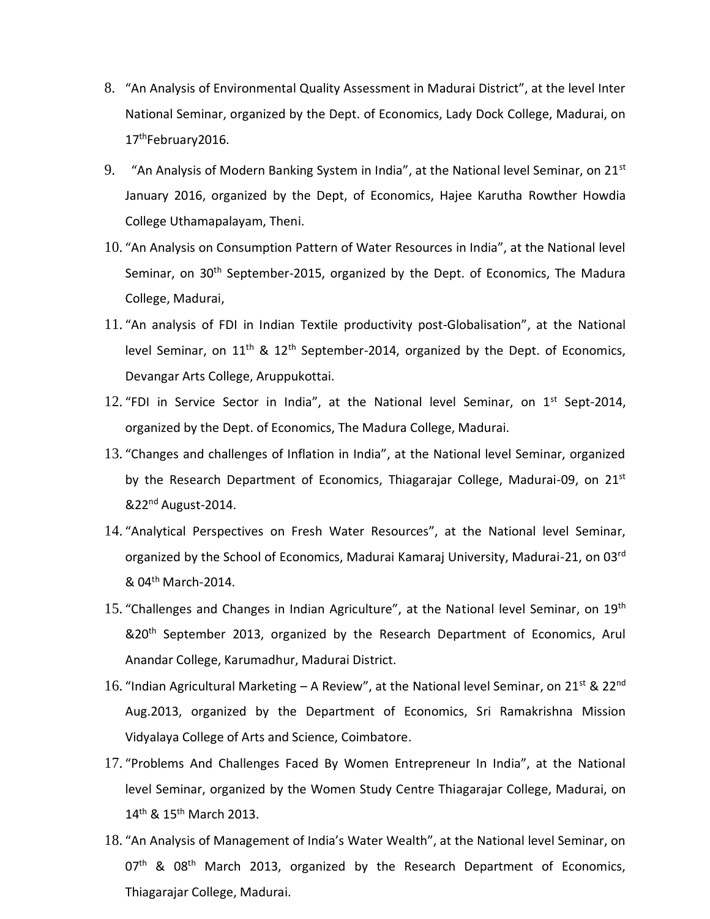- 8. "An Analysis of Environmental Quality Assessment in Madurai District", at the level Inter National Seminar, organized by the Dept. of Economics, Lady Dock College, Madurai, on 17<sup>th</sup>February2016.
- 9."An Analysis of Modern Banking System in India", at the National level Seminar, on 21st January 2016, organized by the Dept, of Economics, Hajee Karutha Rowther Howdia College Uthamapalayam, Theni.
- 10. "An Analysis on Consumption Pattern of Water Resources in India", at the National level Seminar, on 30<sup>th</sup> September-2015, organized by the Dept. of Economics, The Madura College, Madurai,
- 11. "An analysis of FDI in Indian Textile productivity post-Globalisation", at the National level Seminar, on  $11<sup>th</sup>$  &  $12<sup>th</sup>$  September-2014, organized by the Dept. of Economics, Devangar Arts College, Aruppukottai.
- 12. "FDI in Service Sector in India", at the National level Seminar, on  $1<sup>st</sup>$  Sept-2014, organized by the Dept. of Economics, The Madura College, Madurai.
- 13. "Changes and challenges of Inflation in India", at the National level Seminar, organized by the Research Department of Economics, Thiagarajar College, Madurai-09, on 21st &22nd August-2014.
- 14. "Analytical Perspectives on Fresh Water Resources", at the National level Seminar, organized by the School of Economics, Madurai Kamaraj University, Madurai-21, on 03rd & 04th March-2014.
- 15. "Challenges and Changes in Indian Agriculture", at the National level Seminar, on  $19<sup>th</sup>$ &20<sup>th</sup> September 2013, organized by the Research Department of Economics, Arul Anandar College, Karumadhur, Madurai District.
- 16. "Indian Agricultural Marketing A Review", at the National level Seminar, on 21<sup>st</sup> & 22<sup>nd</sup> Aug.2013, organized by the Department of Economics, Sri Ramakrishna Mission Vidyalaya College of Arts and Science, Coimbatore.
- 17. "Problems And Challenges Faced By Women Entrepreneur In India", at the National level Seminar, organized by the Women Study Centre Thiagarajar College, Madurai, on 14<sup>th</sup> & 15<sup>th</sup> March 2013.
- 18. "An Analysis of Management of India's Water Wealth", at the National level Seminar, on  $07<sup>th</sup>$  &  $08<sup>th</sup>$  March 2013, organized by the Research Department of Economics, Thiagarajar College, Madurai.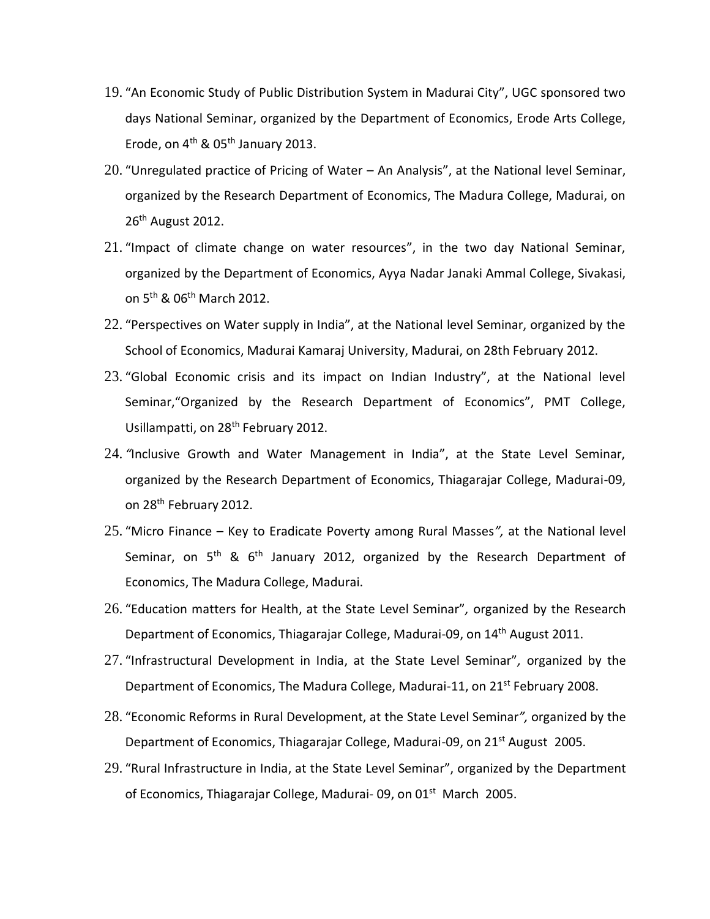- 19. "An Economic Study of Public Distribution System in Madurai City", UGC sponsored two days National Seminar, organized by the Department of Economics, Erode Arts College, Erode, on  $4<sup>th</sup>$  & 05<sup>th</sup> January 2013.
- 20. "Unregulated practice of Pricing of Water An Analysis", at the National level Seminar, organized by the Research Department of Economics, The Madura College, Madurai, on 26<sup>th</sup> August 2012.
- 21. "Impact of climate change on water resources", in the two day National Seminar, organized by the Department of Economics, Ayya Nadar Janaki Ammal College, Sivakasi, on 5<sup>th</sup> & 06<sup>th</sup> March 2012.
- 22. "Perspectives on Water supply in India", at the National level Seminar, organized by the School of Economics, Madurai Kamaraj University, Madurai, on 28th February 2012.
- 23. "Global Economic crisis and its impact on Indian Industry", at the National level Seminar,"Organized by the Research Department of Economics", PMT College, Usillampatti, on 28<sup>th</sup> February 2012.
- 24. *"*Inclusive Growth and Water Management in India", at the State Level Seminar, organized by the Research Department of Economics, Thiagarajar College, Madurai-09, on 28<sup>th</sup> February 2012.
- 25. "Micro Finance Key to Eradicate Poverty among Rural Masses*",* at the National level Seminar, on  $5<sup>th</sup>$  &  $6<sup>th</sup>$  January 2012, organized by the Research Department of Economics, The Madura College, Madurai.
- 26. "Education matters for Health, at the State Level Seminar"*,* organized by the Research Department of Economics, Thiagarajar College, Madurai-09, on 14<sup>th</sup> August 2011.
- 27. "Infrastructural Development in India, at the State Level Seminar"*,* organized by the Department of Economics, The Madura College, Madurai-11, on 21<sup>st</sup> February 2008.
- 28. "Economic Reforms in Rural Development, at the State Level Seminar*",* organized by the Department of Economics, Thiagarajar College, Madurai-09, on 21<sup>st</sup> August 2005.
- 29. "Rural Infrastructure in India, at the State Level Seminar", organized by the Department of Economics, Thiagarajar College, Madurai- 09, on 01<sup>st</sup> March 2005.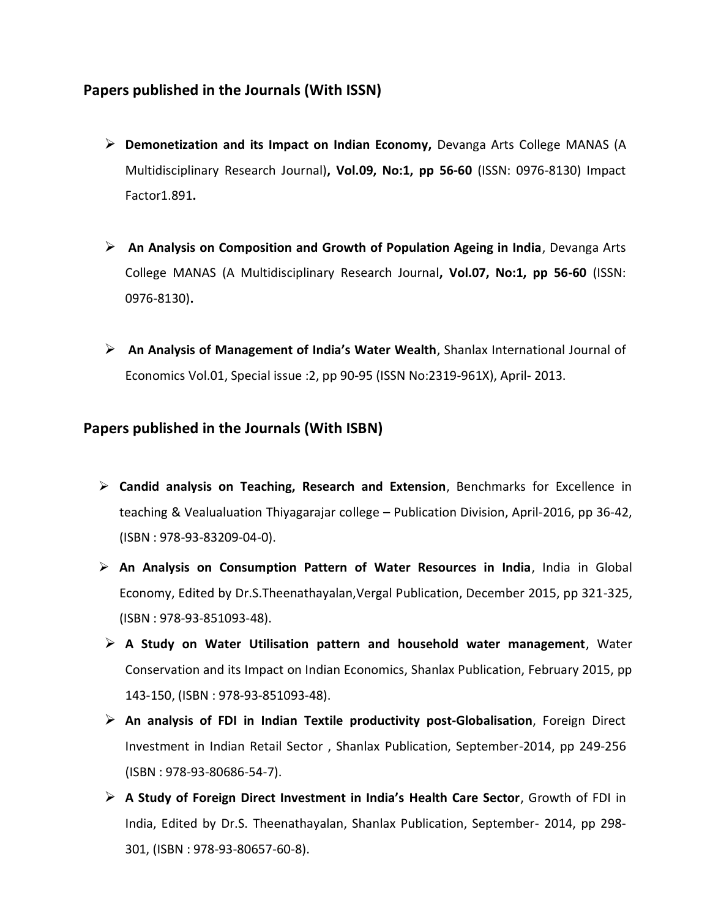# **Papers published in the Journals (With ISSN)**

- **Demonetization and its Impact on Indian Economy,** Devanga Arts College MANAS (A Multidisciplinary Research Journal)**, Vol.09, No:1, pp 56-60** (ISSN: 0976-8130) Impact Factor1.891**.**
- **An Analysis on Composition and Growth of Population Ageing in India**, Devanga Arts College MANAS (A Multidisciplinary Research Journal**, Vol.07, No:1, pp 56-60** (ISSN: 0976-8130)**.**
- **An Analysis of Management of India's Water Wealth**, Shanlax International Journal of Economics Vol.01, Special issue :2, pp 90-95 (ISSN No:2319-961X), April- 2013.

## **Papers published in the Journals (With ISBN)**

- **Candid analysis on Teaching, Research and Extension**, Benchmarks for Excellence in teaching & Vealualuation Thiyagarajar college – Publication Division, April-2016, pp 36-42, (ISBN : 978-93-83209-04-0).
- **An Analysis on Consumption Pattern of Water Resources in India**, India in Global Economy, Edited by Dr.S.Theenathayalan,Vergal Publication, December 2015, pp 321-325, (ISBN : 978-93-851093-48).
- **A Study on Water Utilisation pattern and household water management**, Water Conservation and its Impact on Indian Economics, Shanlax Publication, February 2015, pp 143-150, (ISBN : 978-93-851093-48).
- **An analysis of FDI in Indian Textile productivity post-Globalisation**, Foreign Direct Investment in Indian Retail Sector , Shanlax Publication, September-2014, pp 249-256 (ISBN : 978-93-80686-54-7).
- **A Study of Foreign Direct Investment in India's Health Care Sector**, Growth of FDI in India, Edited by Dr.S. Theenathayalan, Shanlax Publication, September- 2014, pp 298- 301, (ISBN : 978-93-80657-60-8).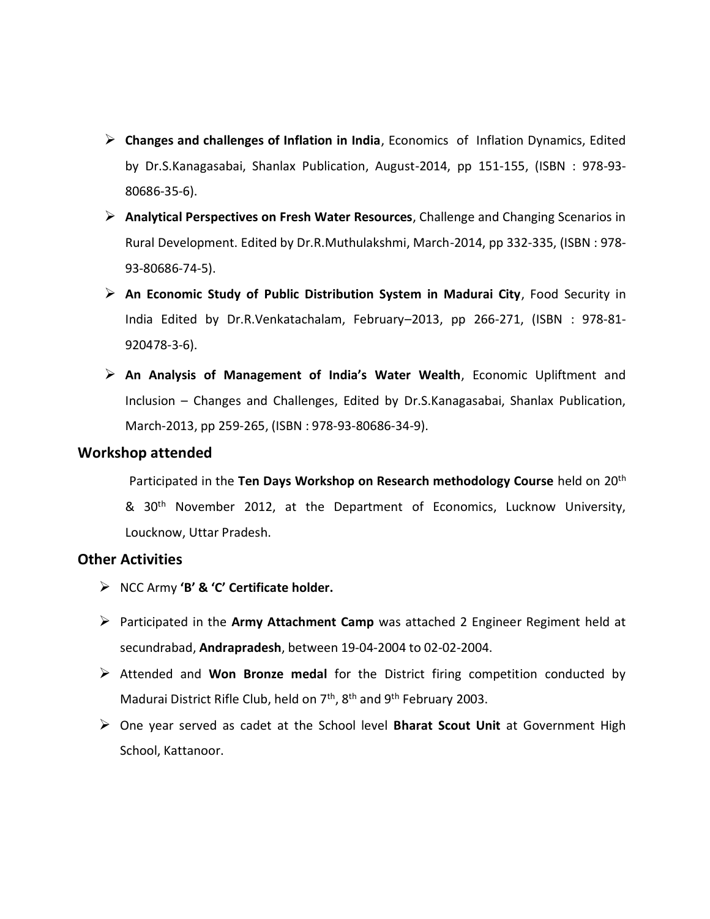- **Changes and challenges of Inflation in India**, Economics of Inflation Dynamics, Edited by Dr.S.Kanagasabai, Shanlax Publication, August-2014, pp 151-155, (ISBN : 978-93- 80686-35-6).
- **Analytical Perspectives on Fresh Water Resources**, Challenge and Changing Scenarios in Rural Development. Edited by Dr.R.Muthulakshmi, March-2014, pp 332-335, (ISBN : 978- 93-80686-74-5).
- **An Economic Study of Public Distribution System in Madurai City**, Food Security in India Edited by Dr.R.Venkatachalam, February–2013, pp 266-271, (ISBN : 978-81- 920478-3-6).
- **An Analysis of Management of India's Water Wealth**, Economic Upliftment and Inclusion – Changes and Challenges, Edited by Dr.S.Kanagasabai, Shanlax Publication, March-2013, pp 259-265, (ISBN : 978-93-80686-34-9).

### **Workshop attended**

 Participated in the **Ten Days Workshop on Research methodology Course** held on 20th & 30<sup>th</sup> November 2012, at the Department of Economics, Lucknow University, Loucknow, Uttar Pradesh.

## **Other Activities**

- NCC Army **'B' & 'C' Certificate holder.**
- Participated in the **Army Attachment Camp** was attached 2 Engineer Regiment held at secundrabad, **Andrapradesh**, between 19-04-2004 to 02-02-2004.
- Attended and **Won Bronze medal** for the District firing competition conducted by Madurai District Rifle Club, held on  $7<sup>th</sup>$ ,  $8<sup>th</sup>$  and  $9<sup>th</sup>$  February 2003.
- One year served as cadet at the School level **Bharat Scout Unit** at Government High School, Kattanoor.